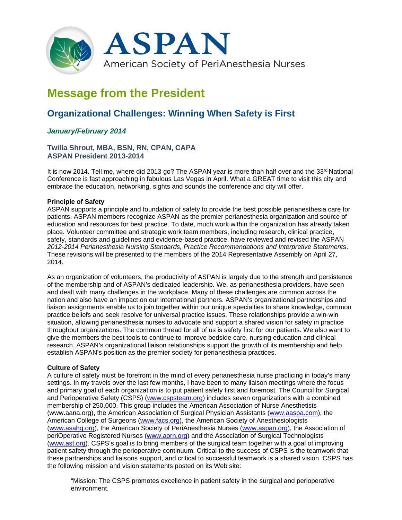

# **Message from the President**

# **Organizational Challenges: Winning When Safety is First**

## *January/February 2014*

### **Twilla Shrout, MBA, BSN, RN, CPAN, CAPA ASPAN President 2013-2014**

It is now 2014. Tell me, where did 2013 go? The ASPAN year is more than half over and the 33<sup>rd</sup> National Conference is fast approaching in fabulous Las Vegas in April. What a GREAT time to visit this city and embrace the education, networking, sights and sounds the conference and city will offer.

#### **Principle of Safety**

ASPAN supports a principle and foundation of safety to provide the best possible perianesthesia care for patients. ASPAN members recognize ASPAN as the premier perianesthesia organization and source of education and resources for best practice. To date, much work within the organization has already taken place. Volunteer committee and strategic work team members, including research, clinical practice, safety, standards and guidelines and evidence-based practice, have reviewed and revised the ASPAN *2012-2014 Perianesthesia Nursing Standards, Practice Recommendations and Interpretive Statements*. These revisions will be presented to the members of the 2014 Representative Assembly on April 27, 2014.

As an organization of volunteers, the productivity of ASPAN is largely due to the strength and persistence of the membership and of ASPAN's dedicated leadership. We, as perianesthesia providers, have seen and dealt with many challenges in the workplace. Many of these challenges are common across the nation and also have an impact on our international partners. ASPAN's organizational partnerships and liaison assignments enable us to join together within our unique specialties to share knowledge, common practice beliefs and seek resolve for universal practice issues. These relationships provide a win-win situation, allowing perianesthesia nurses to advocate and support a shared vision for safety in practice throughout organizations. The common thread for all of us is safety first for our patients. We also want to give the members the best tools to continue to improve bedside care, nursing education and clinical research. ASPAN's organizational liaison relationships support the growth of its membership and help establish ASPAN's position as the premier society for perianesthesia practices.

#### **Culture of Safety**

A culture of safety must be forefront in the mind of every perianesthesia nurse practicing in today's many settings. In my travels over the last few months, I have been to many liaison meetings where the focus and primary goal of each organization is to put patient safety first and foremost. The Council for Surgical and Perioperative Safety (CSPS) (www.cspsteam.org) includes seven organizations with a combined membership of 250,000. This group includes the American Association of Nurse Anesthetists (www.aana.org), the American Association of Surgical Physician Assistants (www.aaspa.com), the American College of Surgeons (www.facs.org), the American Society of Anesthesiologists (www.asahq.org), the American Society of PeriAnesthesia Nurses (www.aspan.org), the Association of periOperative Registered Nurses (www.aorn.org) and the Association of Surgical Technologists (www.ast.org). CSPS's goal is to bring members of the surgical team together with a goal of improving patient safety through the perioperative continuum. Critical to the success of CSPS is the teamwork that these partnerships and liaisons support, and critical to successful teamwork is a shared vision. CSPS has the following mission and vision statements posted on its Web site:

"Mission: The CSPS promotes excellence in patient safety in the surgical and perioperative environment.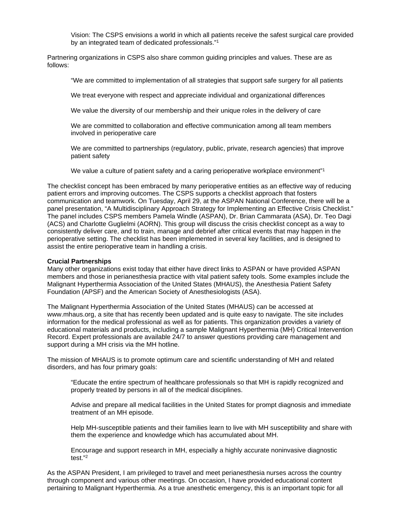Vision: The CSPS envisions a world in which all patients receive the safest surgical care provided by an integrated team of dedicated professionals."1

Partnering organizations in CSPS also share common guiding principles and values. These are as follows:

"We are committed to implementation of all strategies that support safe surgery for all patients

We treat everyone with respect and appreciate individual and organizational differences

We value the diversity of our membership and their unique roles in the delivery of care

We are committed to collaboration and effective communication among all team members involved in perioperative care

We are committed to partnerships (regulatory, public, private, research agencies) that improve patient safety

We value a culture of patient safety and a caring perioperative workplace environment"<sup>1</sup>

The checklist concept has been embraced by many perioperative entities as an effective way of reducing patient errors and improving outcomes. The CSPS supports a checklist approach that fosters communication and teamwork. On Tuesday, April 29, at the ASPAN National Conference, there will be a panel presentation, "A Multidisciplinary Approach Strategy for Implementing an Effective Crisis Checklist." The panel includes CSPS members Pamela Windle (ASPAN), Dr. Brian Cammarata (ASA), Dr. Teo Dagi (ACS) and Charlotte Guglielmi (AORN). This group will discuss the crisis checklist concept as a way to consistently deliver care, and to train, manage and debrief after critical events that may happen in the perioperative setting. The checklist has been implemented in several key facilities, and is designed to assist the entire perioperative team in handling a crisis.

#### **Crucial Partnerships**

Many other organizations exist today that either have direct links to ASPAN or have provided ASPAN members and those in perianesthesia practice with vital patient safety tools. Some examples include the Malignant Hyperthermia Association of the United States (MHAUS), the Anesthesia Patient Safety Foundation (APSF) and the American Society of Anesthesiologists (ASA).

The Malignant Hyperthermia Association of the United States (MHAUS) can be accessed at www.mhaus.org, a site that has recently been updated and is quite easy to navigate. The site includes information for the medical professional as well as for patients. This organization provides a variety of educational materials and products, including a sample Malignant Hyperthermia (MH) Critical Intervention Record. Expert professionals are available 24/7 to answer questions providing care management and support during a MH crisis via the MH hotline.

The mission of MHAUS is to promote optimum care and scientific understanding of MH and related disorders, and has four primary goals:

"Educate the entire spectrum of healthcare professionals so that MH is rapidly recognized and properly treated by persons in all of the medical disciplines.

Advise and prepare all medical facilities in the United States for prompt diagnosis and immediate treatment of an MH episode.

Help MH-susceptible patients and their families learn to live with MH susceptibility and share with them the experience and knowledge which has accumulated about MH.

Encourage and support research in MH, especially a highly accurate noninvasive diagnostic test."2

As the ASPAN President, I am privileged to travel and meet perianesthesia nurses across the country through component and various other meetings. On occasion, I have provided educational content pertaining to Malignant Hyperthermia. As a true anesthetic emergency, this is an important topic for all